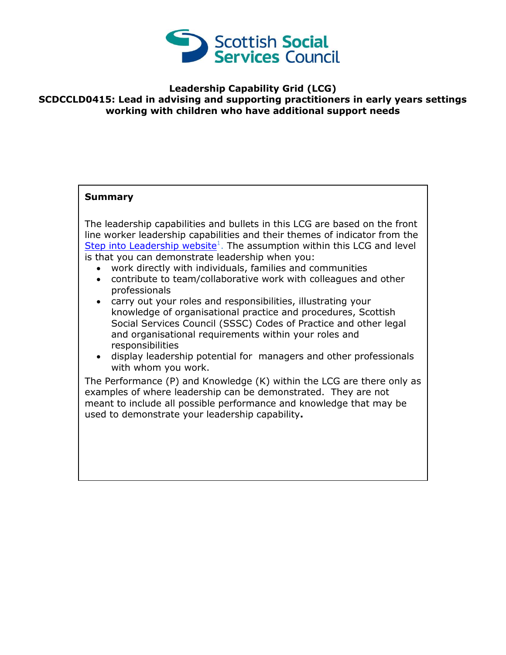

## **Leadership Capability Grid (LCG) SCDCCLD0415: Lead in advising and supporting practitioners in early years settings working with children who have additional support needs**

## **Summary**

The leadership capabilities and bullets in this LCG are based on the front line worker leadership capabilities and their themes of indicator from the [Step into Leadership website](http://www.stepintoleadership.info/)<sup>1</sup>. The assumption within this LCG and level is that you can demonstrate leadership when you:

- work directly with individuals, families and communities
- contribute to team/collaborative work with colleagues and other professionals
- carry out your roles and responsibilities, illustrating your knowledge of organisational practice and procedures, Scottish Social Services Council (SSSC) Codes of Practice and other legal and organisational requirements within your roles and responsibilities
- display leadership potential for managers and other professionals with whom you work.

The Performance (P) and Knowledge (K) within the LCG are there only as examples of where leadership can be demonstrated. They are not meant to include all possible performance and knowledge that may be used to demonstrate your leadership capability**.**